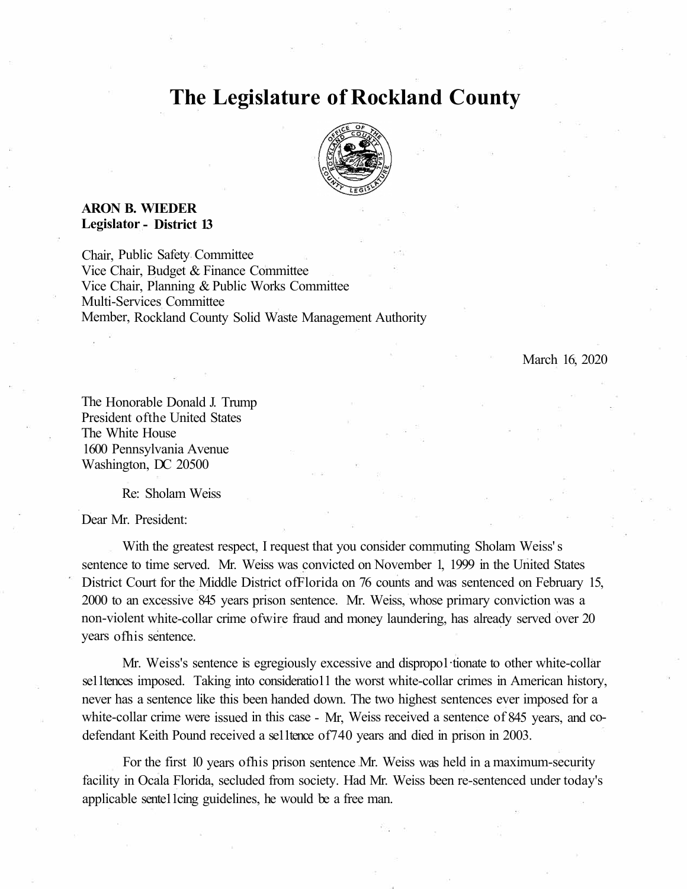## **The Legislature of Rockland County**



## **ARON B. WIEDER Legislator - District 13**

Chair, Public Safety Committee Vice Chair, Budget & Finance Committee Vice Chair, Planning & Public Works Committee Multi-Services Committee Member, Rockland County Solid Waste Management Authority

March 16, 2020

The Honorable Donald J. Trump President ofthe United States The White House 1600 Pennsylvania Avenue Washington, DC 20500

Re: Sholam Weiss

Dear Mr. President:

With the greatest respect, I request that you consider commuting Sholam Weiss' s sentence to time served. Mr. Weiss was convicted on November 1, 1999 in the United States District Court for the Middle District ofFlorida on 76 counts and was sentenced on February 15, 2000 to an excessive 845 years prison sentence. Mr. Weiss, whose primary conviction was a non-violent white-collar crime ofwire fraud and money laundering, has already served over 20 years ofhis sentence.

Mr. Weiss's sentence is egregiously excessive and dispropo1·tionate to other white-collar se11tences imposed. Taking into consideratio11 the worst white-collar crimes in American history, never has a sentence like this been handed down. The two highest sentences ever imposed for a white-collar crime were issued in this case - Mr, Weiss received a sentence of 845 years, and codefendant Keith Pound received a se11tence of740 years and died in prison in 2003.

For the first 10 years ofhis prison sentence Mr. Weiss was held in a maximum-security facility in Ocala Florida, secluded from society. Had Mr. Weiss been re-sentenced under today's applicable sente11cing guidelines, he would be a free man.